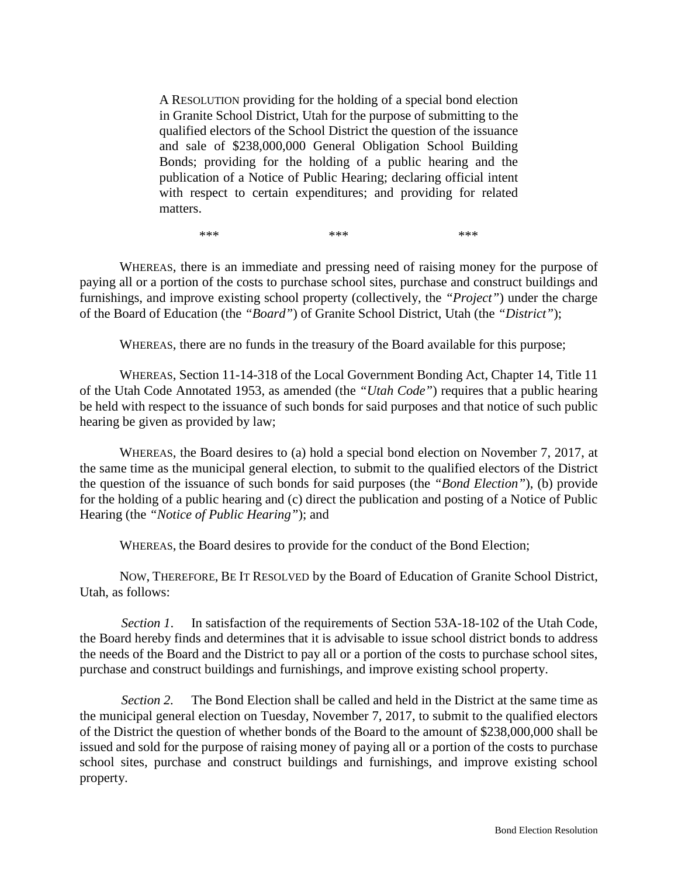A RESOLUTION providing for the holding of a special bond election in Granite School District, Utah for the purpose of submitting to the qualified electors of the School District the question of the issuance and sale of \$238,000,000 General Obligation School Building Bonds; providing for the holding of a public hearing and the publication of a Notice of Public Hearing; declaring official intent with respect to certain expenditures; and providing for related matters.

\*\*\* \*\*\* \*\*\* \*\*\* \*\*\*

WHEREAS, there is an immediate and pressing need of raising money for the purpose of paying all or a portion of the costs to purchase school sites, purchase and construct buildings and furnishings, and improve existing school property (collectively, the *"Project"*) under the charge of the Board of Education (the *"Board"*) of Granite School District, Utah (the *"District"*);

WHEREAS, there are no funds in the treasury of the Board available for this purpose;

WHEREAS, Section 11-14-318 of the Local Government Bonding Act, Chapter 14, Title 11 of the Utah Code Annotated 1953, as amended (the *"Utah Code"*) requires that a public hearing be held with respect to the issuance of such bonds for said purposes and that notice of such public hearing be given as provided by law;

WHEREAS, the Board desires to (a) hold a special bond election on November 7, 2017, at the same time as the municipal general election, to submit to the qualified electors of the District the question of the issuance of such bonds for said purposes (the *"Bond Election"*), (b) provide for the holding of a public hearing and (c) direct the publication and posting of a Notice of Public Hearing (the *"Notice of Public Hearing"*); and

WHEREAS, the Board desires to provide for the conduct of the Bond Election;

NOW, THEREFORE, BE IT RESOLVED by the Board of Education of Granite School District, Utah, as follows:

*Section 1*. In satisfaction of the requirements of Section 53A-18-102 of the Utah Code, the Board hereby finds and determines that it is advisable to issue school district bonds to address the needs of the Board and the District to pay all or a portion of the costs to purchase school sites, purchase and construct buildings and furnishings, and improve existing school property.

*Section 2.* The Bond Election shall be called and held in the District at the same time as the municipal general election on Tuesday, November 7, 2017, to submit to the qualified electors of the District the question of whether bonds of the Board to the amount of \$238,000,000 shall be issued and sold for the purpose of raising money of paying all or a portion of the costs to purchase school sites, purchase and construct buildings and furnishings, and improve existing school property.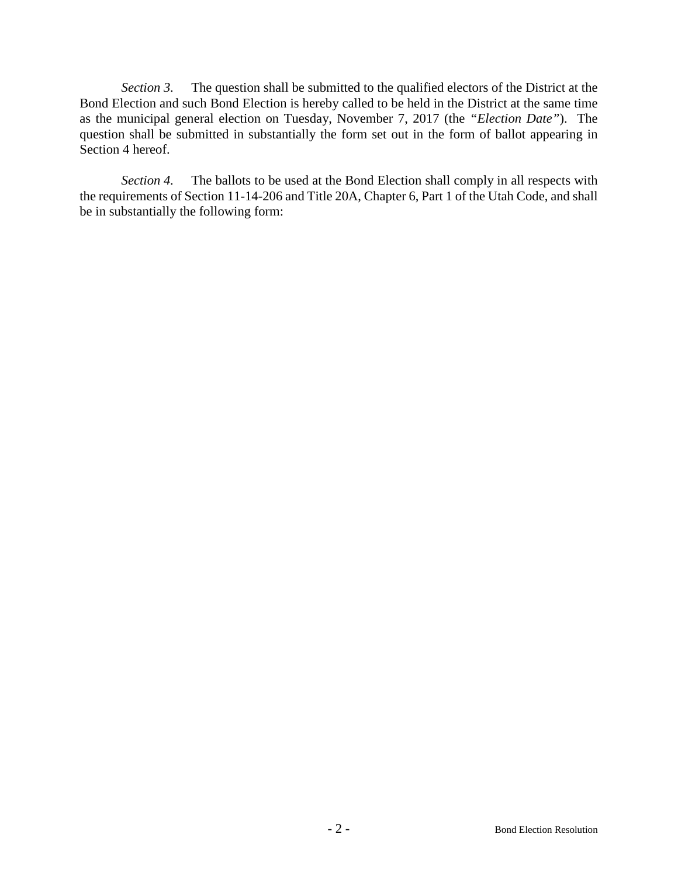*Section 3.* The question shall be submitted to the qualified electors of the District at the Bond Election and such Bond Election is hereby called to be held in the District at the same time as the municipal general election on Tuesday, November 7, 2017 (the *"Election Date"*). The question shall be submitted in substantially the form set out in the form of ballot appearing in Section 4 hereof.

*Section 4.* The ballots to be used at the Bond Election shall comply in all respects with the requirements of Section 11-14-206 and Title 20A, Chapter 6, Part 1 of the Utah Code, and shall be in substantially the following form: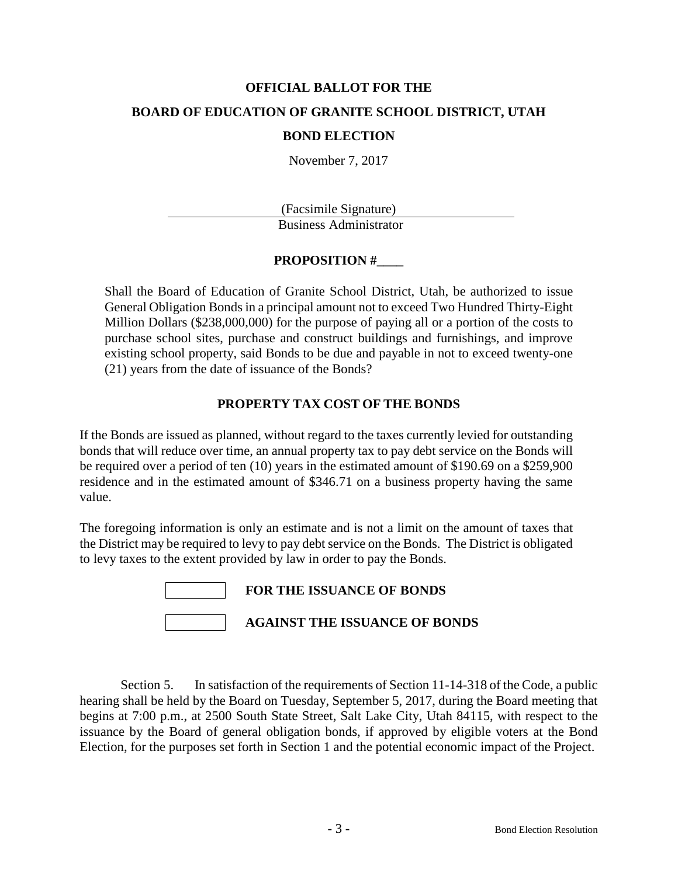# **OFFICIAL BALLOT FOR THE BOARD OF EDUCATION OF GRANITE SCHOOL DISTRICT, UTAH**

#### **BOND ELECTION**

November 7, 2017

(Facsimile Signature) Business Administrator

## **PROPOSITION #\_\_\_\_**

Shall the Board of Education of Granite School District, Utah, be authorized to issue General Obligation Bonds in a principal amount not to exceed Two Hundred Thirty-Eight Million Dollars (\$238,000,000) for the purpose of paying all or a portion of the costs to purchase school sites, purchase and construct buildings and furnishings, and improve existing school property, said Bonds to be due and payable in not to exceed twenty-one (21) years from the date of issuance of the Bonds?

## **PROPERTY TAX COST OF THE BONDS**

If the Bonds are issued as planned, without regard to the taxes currently levied for outstanding bonds that will reduce over time, an annual property tax to pay debt service on the Bonds will be required over a period of ten (10) years in the estimated amount of \$190.69 on a \$259,900 residence and in the estimated amount of \$346.71 on a business property having the same value.

The foregoing information is only an estimate and is not a limit on the amount of taxes that the District may be required to levy to pay debt service on the Bonds. The District is obligated to levy taxes to the extent provided by law in order to pay the Bonds.

| <b>FOR THE ISSUANCE OF BONDS</b>     |
|--------------------------------------|
| <b>AGAINST THE ISSUANCE OF BONDS</b> |

Section 5. In satisfaction of the requirements of Section 11-14-318 of the Code, a public hearing shall be held by the Board on Tuesday, September 5, 2017, during the Board meeting that begins at 7:00 p.m., at 2500 South State Street, Salt Lake City, Utah 84115, with respect to the issuance by the Board of general obligation bonds, if approved by eligible voters at the Bond Election, for the purposes set forth in Section 1 and the potential economic impact of the Project.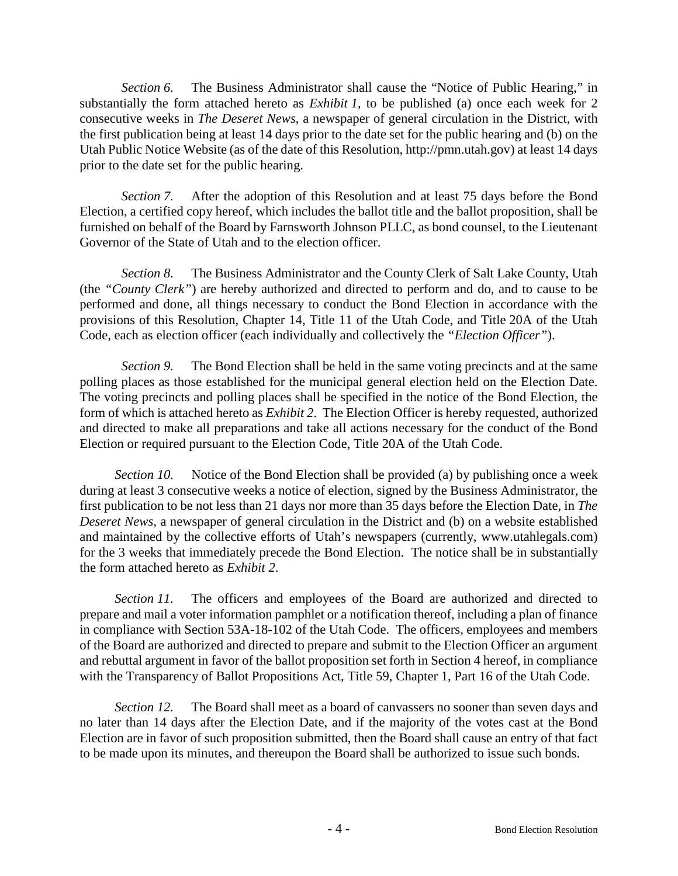*Section 6.* The Business Administrator shall cause the "Notice of Public Hearing," in substantially the form attached hereto as *Exhibit 1,* to be published (a) once each week for 2 consecutive weeks in *The Deseret News*, a newspaper of general circulation in the District, with the first publication being at least 14 days prior to the date set for the public hearing and (b) on the Utah Public Notice Website (as of the date of this Resolution, http://pmn.utah.gov) at least 14 days prior to the date set for the public hearing.

*Section 7.* After the adoption of this Resolution and at least 75 days before the Bond Election, a certified copy hereof, which includes the ballot title and the ballot proposition, shall be furnished on behalf of the Board by Farnsworth Johnson PLLC, as bond counsel, to the Lieutenant Governor of the State of Utah and to the election officer.

*Section 8.* The Business Administrator and the County Clerk of Salt Lake County, Utah (the *"County Clerk"*) are hereby authorized and directed to perform and do, and to cause to be performed and done, all things necessary to conduct the Bond Election in accordance with the provisions of this Resolution, Chapter 14, Title 11 of the Utah Code, and Title 20A of the Utah Code, each as election officer (each individually and collectively the *"Election Officer"*).

*Section 9.* The Bond Election shall be held in the same voting precincts and at the same polling places as those established for the municipal general election held on the Election Date. The voting precincts and polling places shall be specified in the notice of the Bond Election, the form of which is attached hereto as *Exhibit 2*. The Election Officer is hereby requested, authorized and directed to make all preparations and take all actions necessary for the conduct of the Bond Election or required pursuant to the Election Code, Title 20A of the Utah Code.

*Section 10.* Notice of the Bond Election shall be provided (a) by publishing once a week during at least 3 consecutive weeks a notice of election, signed by the Business Administrator, the first publication to be not less than 21 days nor more than 35 days before the Election Date, in *The Deseret News*, a newspaper of general circulation in the District and (b) on a website established and maintained by the collective efforts of Utah's newspapers (currently, www.utahlegals.com) for the 3 weeks that immediately precede the Bond Election. The notice shall be in substantially the form attached hereto as *Exhibit 2*.

*Section 11.* The officers and employees of the Board are authorized and directed to prepare and mail a voter information pamphlet or a notification thereof, including a plan of finance in compliance with Section 53A-18-102 of the Utah Code. The officers, employees and members of the Board are authorized and directed to prepare and submit to the Election Officer an argument and rebuttal argument in favor of the ballot proposition set forth in Section 4 hereof, in compliance with the Transparency of Ballot Propositions Act, Title 59, Chapter 1, Part 16 of the Utah Code.

*Section 12.* The Board shall meet as a board of canvassers no sooner than seven days and no later than 14 days after the Election Date, and if the majority of the votes cast at the Bond Election are in favor of such proposition submitted, then the Board shall cause an entry of that fact to be made upon its minutes, and thereupon the Board shall be authorized to issue such bonds.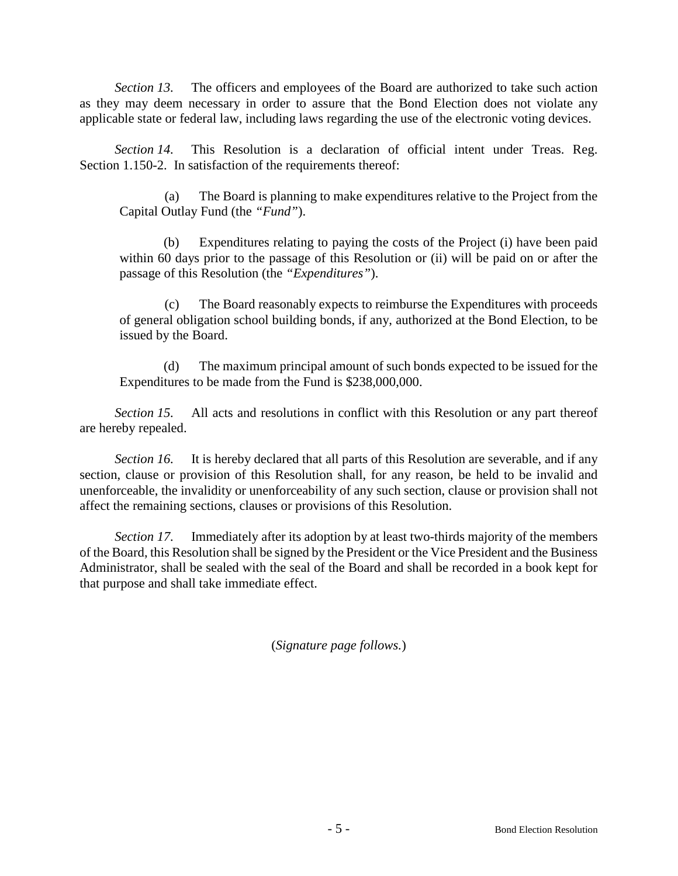*Section 13.* The officers and employees of the Board are authorized to take such action as they may deem necessary in order to assure that the Bond Election does not violate any applicable state or federal law, including laws regarding the use of the electronic voting devices.

*Section 14.* This Resolution is a declaration of official intent under Treas. Reg. Section 1.150-2. In satisfaction of the requirements thereof:

(a) The Board is planning to make expenditures relative to the Project from the Capital Outlay Fund (the *"Fund"*).

(b) Expenditures relating to paying the costs of the Project (i) have been paid within 60 days prior to the passage of this Resolution or (ii) will be paid on or after the passage of this Resolution (the *"Expenditures"*).

(c) The Board reasonably expects to reimburse the Expenditures with proceeds of general obligation school building bonds, if any, authorized at the Bond Election, to be issued by the Board.

(d) The maximum principal amount of such bonds expected to be issued for the Expenditures to be made from the Fund is \$238,000,000.

*Section 15.* All acts and resolutions in conflict with this Resolution or any part thereof are hereby repealed.

*Section 16.* It is hereby declared that all parts of this Resolution are severable, and if any section, clause or provision of this Resolution shall, for any reason, be held to be invalid and unenforceable, the invalidity or unenforceability of any such section, clause or provision shall not affect the remaining sections, clauses or provisions of this Resolution.

*Section 17.* Immediately after its adoption by at least two-thirds majority of the members of the Board, this Resolution shall be signed by the President or the Vice President and the Business Administrator, shall be sealed with the seal of the Board and shall be recorded in a book kept for that purpose and shall take immediate effect.

(*Signature page follows.*)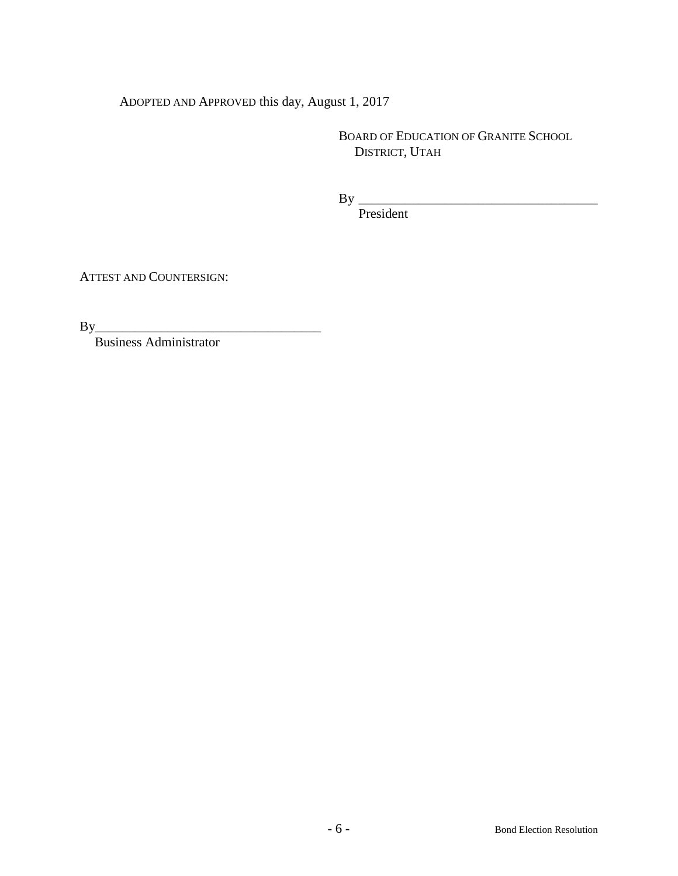ADOPTED AND APPROVED this day, August 1, 2017

BOARD OF EDUCATION OF GRANITE SCHOOL DISTRICT, UTAH

By \_\_\_\_\_\_\_\_\_\_\_\_\_\_\_\_\_\_\_\_\_\_\_\_\_\_\_\_\_\_\_\_\_\_\_\_

President

ATTEST AND COUNTERSIGN:

By\_\_\_\_\_\_\_\_\_\_\_\_\_\_\_\_\_\_\_\_\_\_\_\_\_\_\_\_\_\_\_\_\_\_

Business Administrator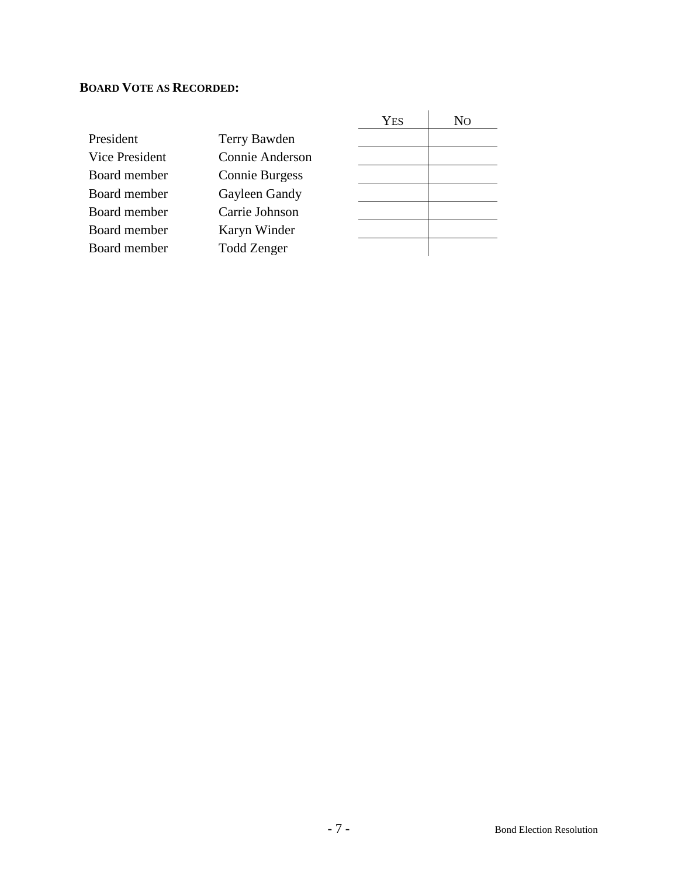## **BOARD VOTE AS RECORDED:**

|                |                       | <b>YES</b> | No |
|----------------|-----------------------|------------|----|
| President      | Terry Bawden          |            |    |
| Vice President | Connie Anderson       |            |    |
| Board member   | <b>Connie Burgess</b> |            |    |
| Board member   | Gayleen Gandy         |            |    |
| Board member   | Carrie Johnson        |            |    |
| Board member   | Karyn Winder          |            |    |
| Board member   | <b>Todd Zenger</b>    |            |    |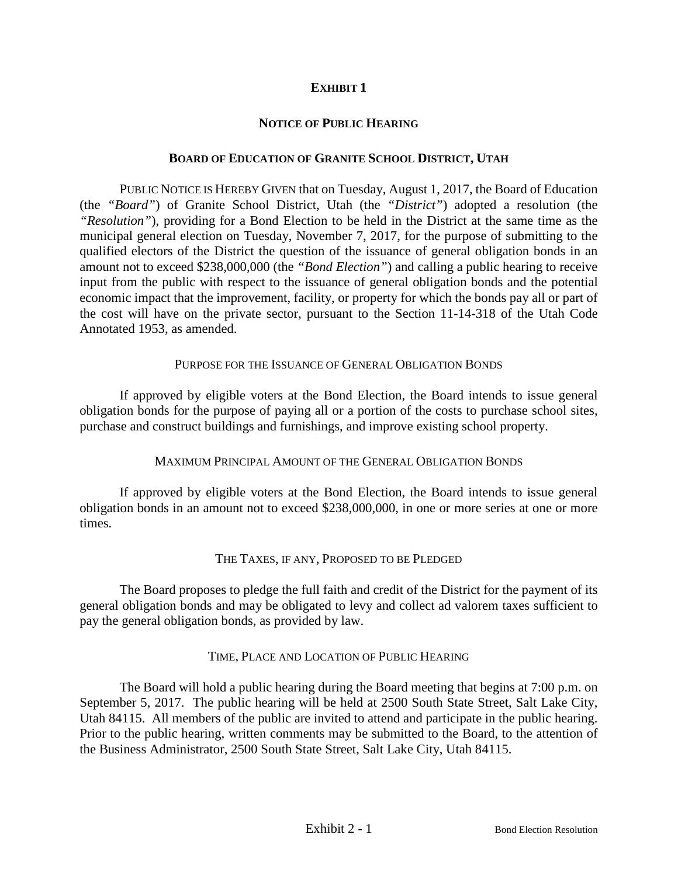## **EXHIBIT 1**

#### **NOTICE OF PUBLIC HEARING**

#### **BOARD OF EDUCATION OF GRANITE SCHOOL DISTRICT, UTAH**

PUBLIC NOTICE IS HEREBY GIVEN that on Tuesday, August 1, 2017, the Board of Education (the *"Board"*) of Granite School District, Utah (the *"District"*) adopted a resolution (the *"Resolution"*), providing for a Bond Election to be held in the District at the same time as the municipal general election on Tuesday, November 7, 2017, for the purpose of submitting to the qualified electors of the District the question of the issuance of general obligation bonds in an amount not to exceed \$238,000,000 (the *"Bond Election"*) and calling a public hearing to receive input from the public with respect to the issuance of general obligation bonds and the potential economic impact that the improvement, facility, or property for which the bonds pay all or part of the cost will have on the private sector, pursuant to the Section 11-14-318 of the Utah Code Annotated 1953, as amended.

#### PURPOSE FOR THE ISSUANCE OF GENERAL OBLIGATION BONDS

If approved by eligible voters at the Bond Election, the Board intends to issue general obligation bonds for the purpose of paying all or a portion of the costs to purchase school sites, purchase and construct buildings and furnishings, and improve existing school property.

## MAXIMUM PRINCIPAL AMOUNT OF THE GENERAL OBLIGATION BONDS

If approved by eligible voters at the Bond Election, the Board intends to issue general obligation bonds in an amount not to exceed \$238,000,000, in one or more series at one or more times.

## THE TAXES, IF ANY, PROPOSED TO BE PLEDGED

The Board proposes to pledge the full faith and credit of the District for the payment of its general obligation bonds and may be obligated to levy and collect ad valorem taxes sufficient to pay the general obligation bonds, as provided by law.

#### TIME, PLACE AND LOCATION OF PUBLIC HEARING

The Board will hold a public hearing during the Board meeting that begins at 7:00 p.m. on September 5, 2017. The public hearing will be held at 2500 South State Street, Salt Lake City, Utah 84115. All members of the public are invited to attend and participate in the public hearing. Prior to the public hearing, written comments may be submitted to the Board, to the attention of the Business Administrator, 2500 South State Street, Salt Lake City, Utah 84115.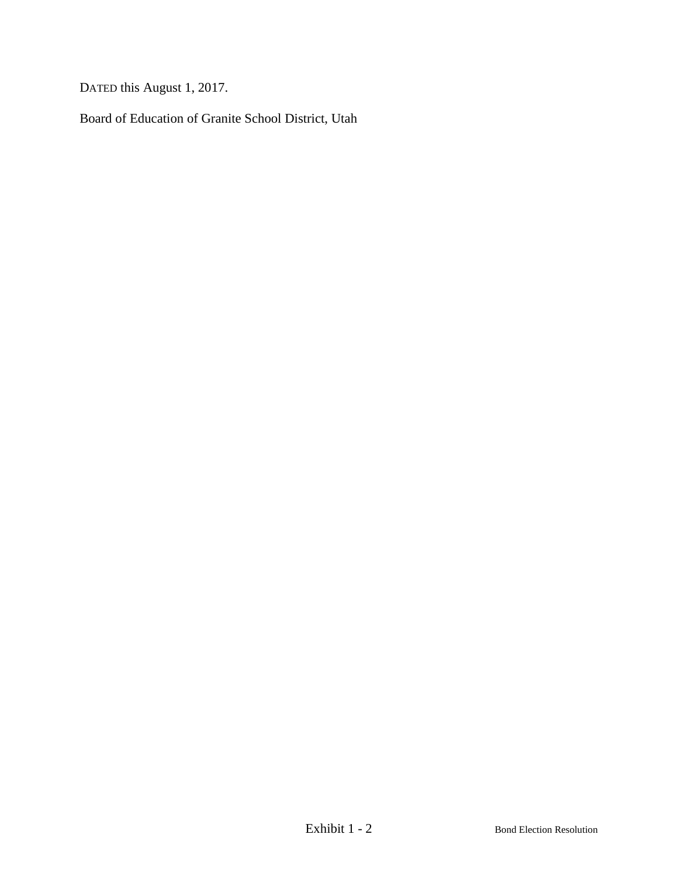DATED this August 1, 2017.

Board of Education of Granite School District, Utah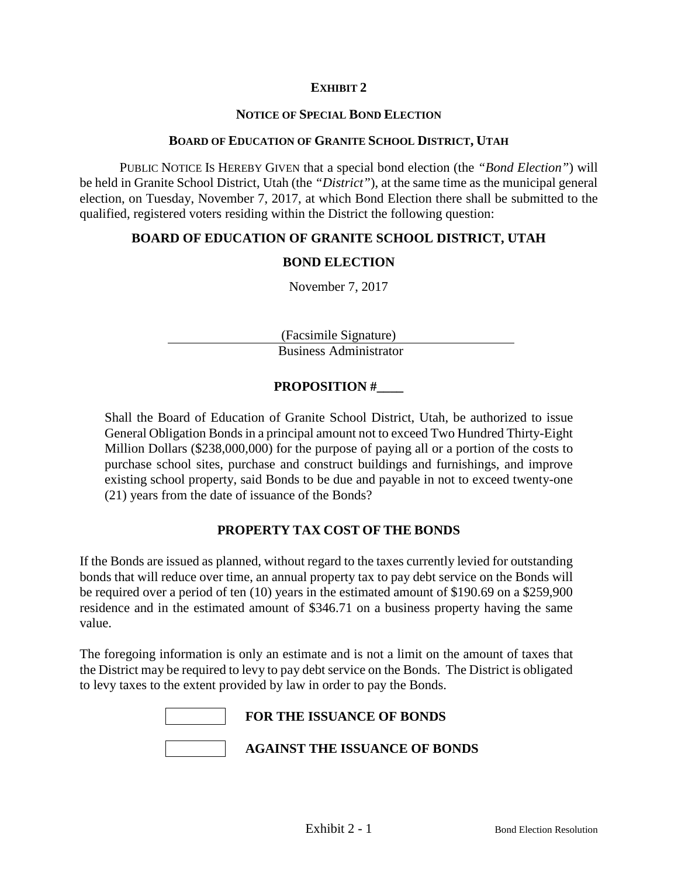## **EXHIBIT 2**

#### **NOTICE OF SPECIAL BOND ELECTION**

#### **BOARD OF EDUCATION OF GRANITE SCHOOL DISTRICT, UTAH**

PUBLIC NOTICE IS HEREBY GIVEN that a special bond election (the *"Bond Election"*) will be held in Granite School District, Utah (the *"District"*), at the same time as the municipal general election, on Tuesday, November 7, 2017, at which Bond Election there shall be submitted to the qualified, registered voters residing within the District the following question:

#### **BOARD OF EDUCATION OF GRANITE SCHOOL DISTRICT, UTAH**

#### **BOND ELECTION**

November 7, 2017

(Facsimile Signature) Business Administrator

## **PROPOSITION #\_\_\_\_**

Shall the Board of Education of Granite School District, Utah, be authorized to issue General Obligation Bonds in a principal amount not to exceed Two Hundred Thirty-Eight Million Dollars (\$238,000,000) for the purpose of paying all or a portion of the costs to purchase school sites, purchase and construct buildings and furnishings, and improve existing school property, said Bonds to be due and payable in not to exceed twenty-one (21) years from the date of issuance of the Bonds?

#### **PROPERTY TAX COST OF THE BONDS**

If the Bonds are issued as planned, without regard to the taxes currently levied for outstanding bonds that will reduce over time, an annual property tax to pay debt service on the Bonds will be required over a period of ten (10) years in the estimated amount of \$190.69 on a \$259,900 residence and in the estimated amount of \$346.71 on a business property having the same value.

The foregoing information is only an estimate and is not a limit on the amount of taxes that the District may be required to levy to pay debt service on the Bonds. The District is obligated to levy taxes to the extent provided by law in order to pay the Bonds.

| <b>FOR THE ISSUANCE OF BONDS</b>     |
|--------------------------------------|
| <b>AGAINST THE ISSUANCE OF BONDS</b> |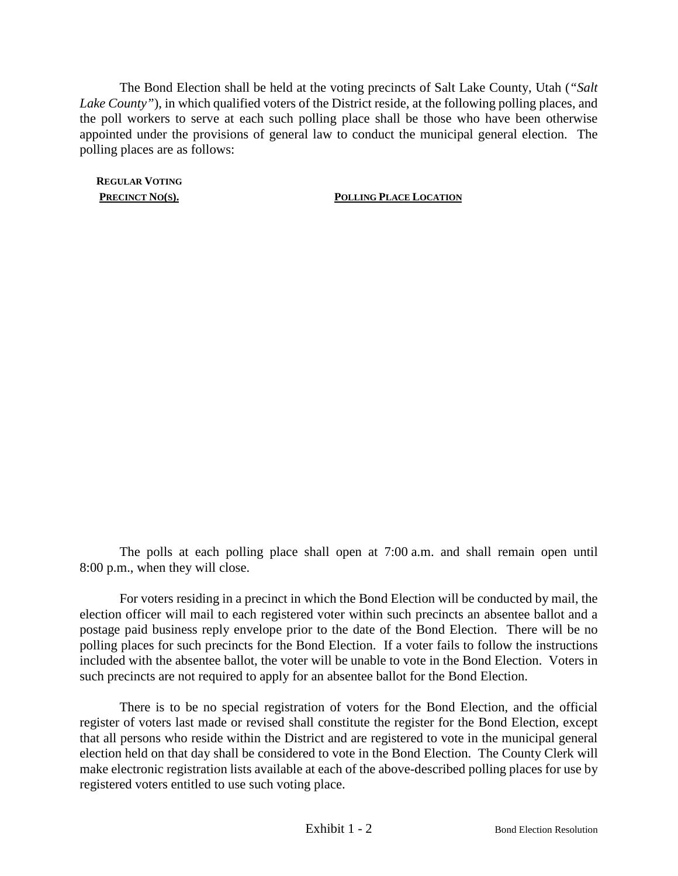The Bond Election shall be held at the voting precincts of Salt Lake County, Utah (*"Salt Lake County"*), in which qualified voters of the District reside, at the following polling places, and the poll workers to serve at each such polling place shall be those who have been otherwise appointed under the provisions of general law to conduct the municipal general election. The polling places are as follows:

**REGULAR VOTING**

**PRECINCT NO(S). POLLING PLACE LOCATION** 

The polls at each polling place shall open at 7:00 a.m. and shall remain open until 8:00 p.m., when they will close.

For voters residing in a precinct in which the Bond Election will be conducted by mail, the election officer will mail to each registered voter within such precincts an absentee ballot and a postage paid business reply envelope prior to the date of the Bond Election. There will be no polling places for such precincts for the Bond Election. If a voter fails to follow the instructions included with the absentee ballot, the voter will be unable to vote in the Bond Election. Voters in such precincts are not required to apply for an absentee ballot for the Bond Election.

There is to be no special registration of voters for the Bond Election, and the official register of voters last made or revised shall constitute the register for the Bond Election, except that all persons who reside within the District and are registered to vote in the municipal general election held on that day shall be considered to vote in the Bond Election. The County Clerk will make electronic registration lists available at each of the above-described polling places for use by registered voters entitled to use such voting place.